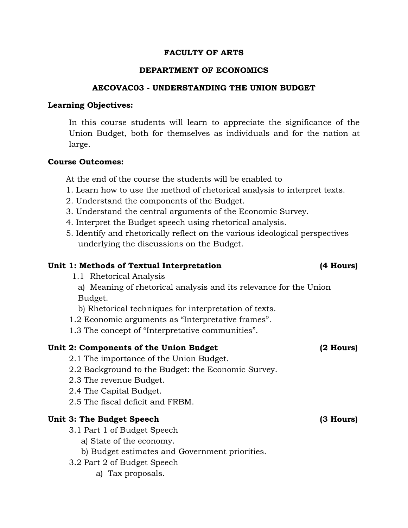### **FACULTY OF ARTS**

### **DEPARTMENT OF ECONOMICS**

#### **AECOVAC03 - UNDERSTANDING THE UNION BUDGET**

#### **Learning Objectives:**

In this course students will learn to appreciate the significance of the Union Budget, both for themselves as individuals and for the nation at large.

#### **Course Outcomes:**

At the end of the course the students will be enabled to

- 1. Learn how to use the method of rhetorical analysis to interpret texts.
- 2. Understand the components of the Budget.
- 3. Understand the central arguments of the Economic Survey.
- 4. Interpret the Budget speech using rhetorical analysis.
- 5. Identify and rhetorically reflect on the various ideological perspectives underlying the discussions on the Budget.

## **Unit 1: Methods of Textual Interpretation (4 Hours)**

- 1.1 Rhetorical Analysis
	- a) Meaning of rhetorical analysis and its relevance for the Union Budget.
- b) Rhetorical techniques for interpretation of texts.
- 1.2 Economic arguments as "Interpretative frames".
- 1.3 The concept of "Interpretative communities".

## Unit 2: Components of the Union Budget (2 Hours)

- 2.1 The importance of the Union Budget.
- 2.2 Background to the Budget: the Economic Survey.
- 2.3 The revenue Budget.
- 2.4 The Capital Budget.
- 2.5 The fiscal deficit and FRBM.

## **Unit 3: The Budget Speech (3 Hours)**

- 3.1 Part 1 of Budget Speech
	- a) State of the economy.
	- b) Budget estimates and Government priorities.
- 3.2 Part 2 of Budget Speech
	- a) Tax proposals.